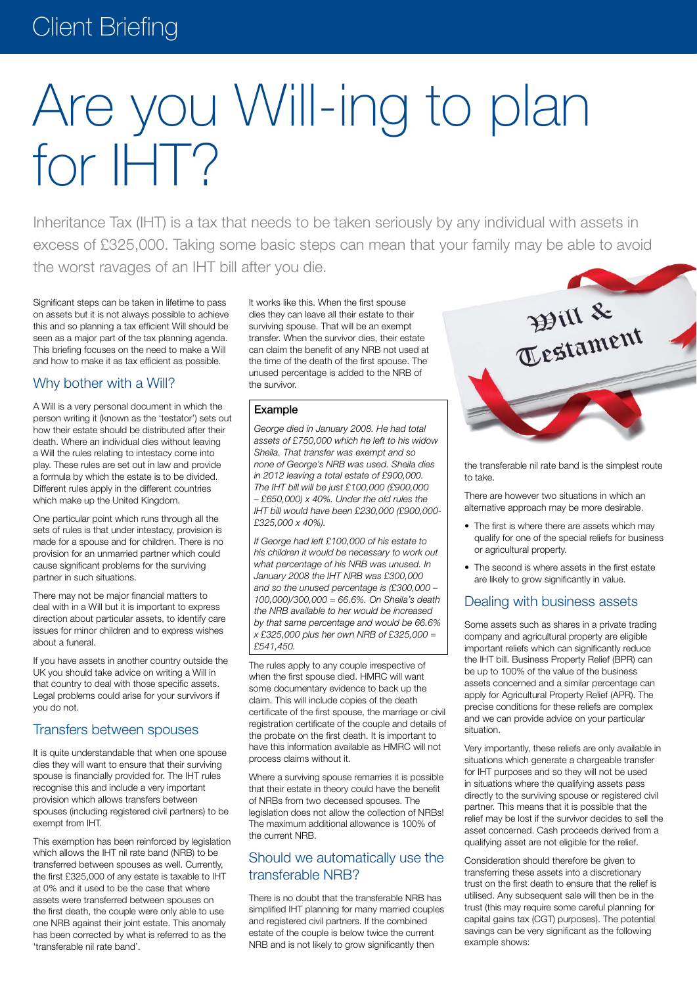# Client Briefing

# Are you Will-ing to plan for IHT?

Inheritance Tax (IHT) is a tax that needs to be taken seriously by any individual with assets in excess of £325,000. Taking some basic steps can mean that your family may be able to avoid the worst ravages of an IHT bill after you die.

Significant steps can be taken in lifetime to pass on assets but it is not always possible to achieve this and so planning a tax efficient Will should be seen as a major part of the tax planning agenda. This briefing focuses on the need to make a Will and how to make it as tax efficient as possible.

## Why bother with a Will?

A Will is a very personal document in which the person writing it (known as the 'testator') sets out how their estate should be distributed after their death. Where an individual dies without leaving a Will the rules relating to intestacy come into play. These rules are set out in law and provide a formula by which the estate is to be divided. Different rules apply in the different countries which make up the United Kingdom.

One particular point which runs through all the sets of rules is that under intestacy, provision is made for a spouse and for children. There is no provision for an unmarried partner which could cause significant problems for the surviving partner in such situations.

There may not be major financial matters to deal with in a Will but it is important to express direction about particular assets, to identify care issues for minor children and to express wishes about a funeral.

If you have assets in another country outside the UK you should take advice on writing a Will in that country to deal with those specific assets. Legal problems could arise for your survivors if you do not.

## Transfers between spouses

It is quite understandable that when one spouse dies they will want to ensure that their surviving spouse is financially provided for. The IHT rules recognise this and include a very important provision which allows transfers between spouses (including registered civil partners) to be exempt from IHT.

This exemption has been reinforced by legislation which allows the IHT nil rate band (NRB) to be transferred between spouses as well. Currently, the first £325,000 of any estate is taxable to IHT at 0% and it used to be the case that where assets were transferred between spouses on the first death, the couple were only able to use one NRB against their joint estate. This anomaly has been corrected by what is referred to as the 'transferable nil rate band'.

It works like this. When the first spouse dies they can leave all their estate to their surviving spouse. That will be an exempt transfer. When the survivor dies, their estate can claim the benefit of any NRB not used at the time of the death of the first spouse. The unused percentage is added to the NRB of the survivor.

#### Example

*George died in January 2008. He had total assets of £750,000 which he left to his widow Sheila. That transfer was exempt and so none of George's NRB was used. Sheila dies in 2012 leaving a total estate of £900,000. The IHT bill will be just £100,000 (£900,000 – £650,000) x 40%. Under the old rules the IHT bill would have been £230,000 (£900,000- £325,000 x 40%).*

*If George had left £100,000 of his estate to his children it would be necessary to work out what percentage of his NRB was unused. In January 2008 the IHT NRB was £300,000 and so the unused percentage is (£300,000 – 100,000)/300,000 = 66.6%. On Sheila's death the NRB available to her would be increased by that same percentage and would be 66.6% x £325,000 plus her own NRB of £325,000 = £541,450.*

The rules apply to any couple irrespective of when the first spouse died. HMRC will want some documentary evidence to back up the claim. This will include copies of the death certificate of the first spouse, the marriage or civil registration certificate of the couple and details of the probate on the first death. It is important to have this information available as HMRC will not process claims without it.

Where a surviving spouse remarries it is possible that their estate in theory could have the benefit of NRBs from two deceased spouses. The legislation does not allow the collection of NRBs! The maximum additional allowance is 100% of the current NRB.

## Should we automatically use the transferable NRB?

There is no doubt that the transferable NRB has simplified IHT planning for many married couples and registered civil partners. If the combined estate of the couple is below twice the current NRB and is not likely to grow significantly then



the transferable nil rate band is the simplest route to take.

There are however two situations in which an alternative approach may be more desirable.

- The first is where there are assets which may qualify for one of the special reliefs for business or agricultural property.
- The second is where assets in the first estate are likely to grow significantly in value.

# Dealing with business assets

Some assets such as shares in a private trading company and agricultural property are eligible important reliefs which can significantly reduce the IHT bill. Business Property Relief (BPR) can be up to 100% of the value of the business assets concerned and a similar percentage can apply for Agricultural Property Relief (APR). The precise conditions for these reliefs are complex and we can provide advice on your particular situation.

Very importantly, these reliefs are only available in situations which generate a chargeable transfer for IHT purposes and so they will not be used in situations where the qualifying assets pass directly to the surviving spouse or registered civil partner. This means that it is possible that the relief may be lost if the survivor decides to sell the asset concerned. Cash proceeds derived from a qualifying asset are not eligible for the relief.

Consideration should therefore be given to transferring these assets into a discretionary trust on the first death to ensure that the relief is utilised. Any subsequent sale will then be in the trust (this may require some careful planning for capital gains tax (CGT) purposes). The potential savings can be very significant as the following example shows: